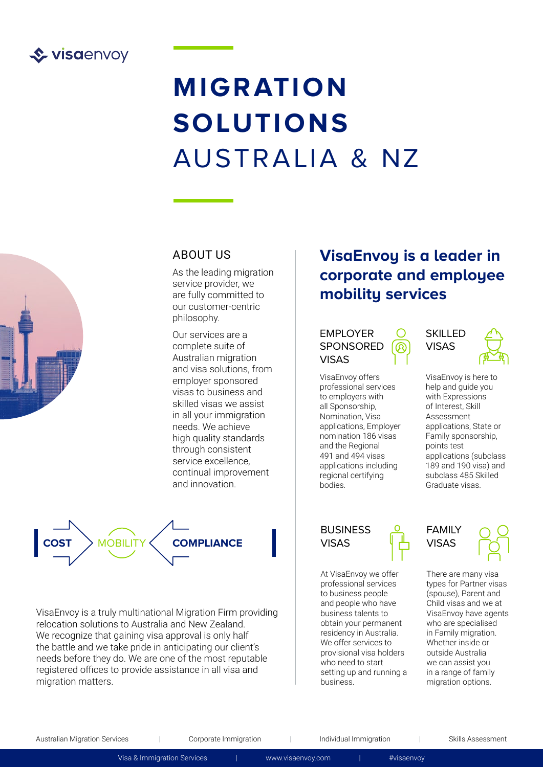

# **MIGRATION SOLUTIONS** AUSTRALIA & NZ



### ABOUT US

As the leading migration service provider, we are fully committed to our customer-centric philosophy.

Our services are a complete suite of Australian migration and visa solutions, from employer sponsored visas to business and skilled visas we assist in all your immigration needs. We achieve high quality standards through consistent service excellence, continual improvement and innovation.



VisaEnvoy is a truly multinational Migration Firm providing relocation solutions to Australia and New Zealand. We recognize that gaining visa approval is only half the battle and we take pride in anticipating our client's needs before they do. We are one of the most reputable registered offices to provide assistance in all visa and migration matters.

## **VisaEnvoy is a leader in corporate and employee mobility services**

#### EMPLOYER SPONSORED VISAS

VisaEnvoy offers professional services to employers with all Sponsorship, Nomination, Visa applications, Employer nomination 186 visas and the Regional 491 and 494 visas applications including regional certifying bodies.

### **SKILLED** VISAS



VisaEnvoy is here to help and guide you with Expressions of Interest, Skill Assessment applications, State or Family sponsorship, points test applications (subclass 189 and 190 visa) and subclass 485 Skilled Graduate visas.

#### **BUSINESS** VISAS

At VisaEnvoy we offer professional services to business people and people who have business talents to obtain your permanent residency in Australia. We offer services to provisional visa holders who need to start setting up and running a business.





There are many visa types for Partner visas (spouse), Parent and Child visas and we at VisaEnvoy have agents who are specialised in Family migration. Whether inside or outside Australia we can assist you in a range of family migration options.

Australian Migration Services | Corporate Immigration | Individual Immigration | Skills Assessment

Visa & Immigration Services | <www.visaenvoy.com>| #visaenvoy